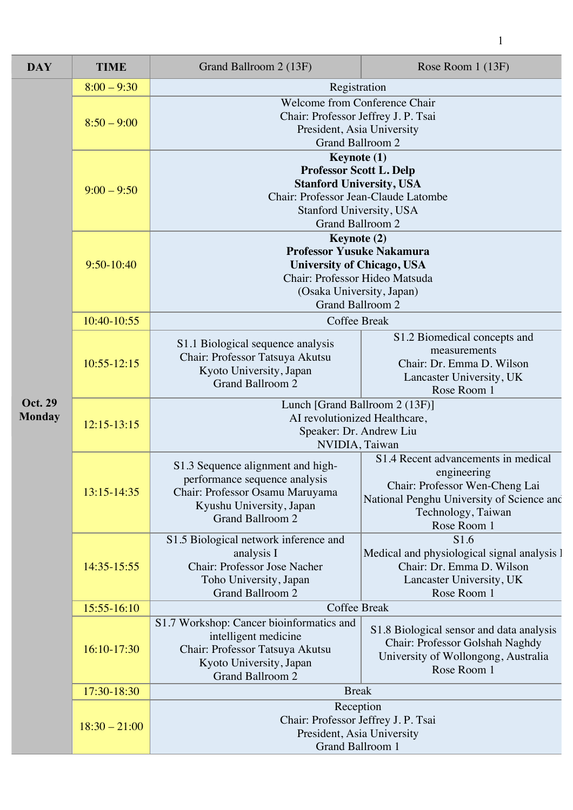| <b>DAY</b>                      | <b>TIME</b>     | Grand Ballroom 2 (13F)                                                                                                                                                         | Rose Room 1 (13F)                                                                                                                                                      |  |
|---------------------------------|-----------------|--------------------------------------------------------------------------------------------------------------------------------------------------------------------------------|------------------------------------------------------------------------------------------------------------------------------------------------------------------------|--|
| <b>Oct. 29</b><br><b>Monday</b> | $8:00 - 9:30$   | Registration                                                                                                                                                                   |                                                                                                                                                                        |  |
|                                 | $8:50 - 9:00$   | Welcome from Conference Chair<br>Chair: Professor Jeffrey J. P. Tsai<br>President, Asia University<br><b>Grand Ballroom 2</b>                                                  |                                                                                                                                                                        |  |
|                                 | $9:00 - 9:50$   | Keynote (1)<br><b>Professor Scott L. Delp</b><br><b>Stanford University, USA</b><br>Chair: Professor Jean-Claude Latombe<br>Stanford University, USA<br>Grand Ballroom 2       |                                                                                                                                                                        |  |
|                                 | $9:50-10:40$    | Keynote (2)<br><b>Professor Yusuke Nakamura</b><br><b>University of Chicago, USA</b><br>Chair: Professor Hideo Matsuda<br>(Osaka University, Japan)<br><b>Grand Ballroom 2</b> |                                                                                                                                                                        |  |
|                                 | 10:40-10:55     | <b>Coffee Break</b>                                                                                                                                                            |                                                                                                                                                                        |  |
|                                 | $10:55 - 12:15$ | S1.1 Biological sequence analysis<br>Chair: Professor Tatsuya Akutsu<br>Kyoto University, Japan<br><b>Grand Ballroom 2</b>                                                     | S1.2 Biomedical concepts and<br>measurements<br>Chair: Dr. Emma D. Wilson<br>Lancaster University, UK<br>Rose Room 1                                                   |  |
|                                 | $12:15-13:15$   | Lunch [Grand Ballroom 2 (13F)]<br>AI revolutionized Healthcare,<br>Speaker: Dr. Andrew Liu<br>NVIDIA, Taiwan                                                                   |                                                                                                                                                                        |  |
|                                 | 13:15-14:35     | S1.3 Sequence alignment and high-<br>performance sequence analysis<br>Chair: Professor Osamu Maruyama<br>Kyushu University, Japan<br><b>Grand Ballroom 2</b>                   | S1.4 Recent advancements in medical<br>engineering<br>Chair: Professor Wen-Cheng Lai<br>National Penghu University of Science and<br>Technology, Taiwan<br>Rose Room 1 |  |
|                                 | 14:35-15:55     | S1.5 Biological network inference and<br>analysis I<br>Chair: Professor Jose Nacher<br>Toho University, Japan<br><b>Grand Ballroom 2</b>                                       | S1.6<br>Medical and physiological signal analysis l<br>Chair: Dr. Emma D. Wilson<br>Lancaster University, UK<br>Rose Room 1                                            |  |
|                                 | 15:55-16:10     | <b>Coffee Break</b>                                                                                                                                                            |                                                                                                                                                                        |  |
|                                 | 16:10-17:30     | S1.7 Workshop: Cancer bioinformatics and<br>intelligent medicine<br>Chair: Professor Tatsuya Akutsu<br>Kyoto University, Japan<br>Grand Ballroom 2                             | S1.8 Biological sensor and data analysis<br>Chair: Professor Golshah Naghdy<br>University of Wollongong, Australia<br>Rose Room 1                                      |  |
|                                 | 17:30-18:30     | <b>Break</b>                                                                                                                                                                   |                                                                                                                                                                        |  |
|                                 | $18:30 - 21:00$ | Reception<br>Chair: Professor Jeffrey J. P. Tsai<br>President, Asia University<br>Grand Ballroom 1                                                                             |                                                                                                                                                                        |  |

1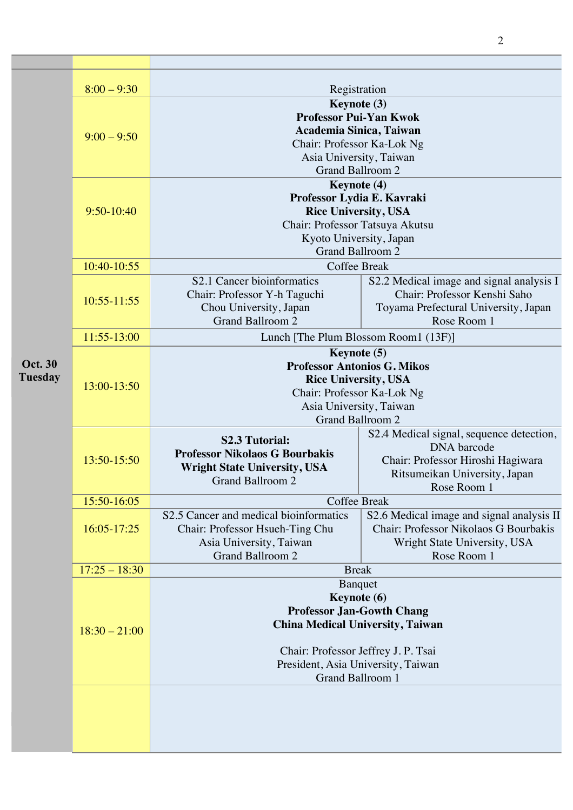|                                  | $8:00 - 9:30$   | Registration                                                                                                                                                                                                  |                                                                                                                                                     |
|----------------------------------|-----------------|---------------------------------------------------------------------------------------------------------------------------------------------------------------------------------------------------------------|-----------------------------------------------------------------------------------------------------------------------------------------------------|
|                                  | $9:00 - 9:50$   | Keynote (3)<br><b>Professor Pui-Yan Kwok</b><br>Academia Sinica, Taiwan<br>Chair: Professor Ka-Lok Ng<br>Asia University, Taiwan<br>Grand Ballroom 2                                                          |                                                                                                                                                     |
|                                  | 9:50-10:40      | Keynote (4)<br>Professor Lydia E. Kavraki<br><b>Rice University, USA</b><br>Chair: Professor Tatsuya Akutsu<br>Kyoto University, Japan<br><b>Grand Ballroom 2</b>                                             |                                                                                                                                                     |
|                                  | 10:40-10:55     | <b>Coffee Break</b>                                                                                                                                                                                           |                                                                                                                                                     |
| <b>Oct. 30</b><br><b>Tuesday</b> | $10:55 - 11:55$ | S2.1 Cancer bioinformatics<br>Chair: Professor Y-h Taguchi<br>Chou University, Japan<br><b>Grand Ballroom 2</b>                                                                                               | S2.2 Medical image and signal analysis I<br>Chair: Professor Kenshi Saho<br>Toyama Prefectural University, Japan<br>Rose Room 1                     |
|                                  | 11:55-13:00     | Lunch [The Plum Blossom Room1 (13F)]                                                                                                                                                                          |                                                                                                                                                     |
|                                  | 13:00-13:50     | Keynote (5)<br><b>Professor Antonios G. Mikos</b><br><b>Rice University, USA</b><br>Chair: Professor Ka-Lok Ng<br>Asia University, Taiwan<br><b>Grand Ballroom 2</b>                                          |                                                                                                                                                     |
|                                  | 13:50-15:50     | <b>S2.3 Tutorial:</b><br><b>Professor Nikolaos G Bourbakis</b><br><b>Wright State University, USA</b><br><b>Grand Ballroom 2</b>                                                                              | S2.4 Medical signal, sequence detection,<br><b>DNA</b> barcode<br>Chair: Professor Hiroshi Hagiwara<br>Ritsumeikan University, Japan<br>Rose Room 1 |
|                                  | 15:50-16:05     | Coffee Break                                                                                                                                                                                                  |                                                                                                                                                     |
|                                  | 16:05-17:25     | S2.5 Cancer and medical bioinformatics<br>Chair: Professor Hsueh-Ting Chu<br>Asia University, Taiwan<br><b>Grand Ballroom 2</b>                                                                               | S2.6 Medical image and signal analysis II<br>Chair: Professor Nikolaos G Bourbakis<br>Wright State University, USA<br>Rose Room 1                   |
|                                  | $17:25 - 18:30$ | <b>Break</b>                                                                                                                                                                                                  |                                                                                                                                                     |
|                                  | $18:30 - 21:00$ | Banquet<br>Keynote (6)<br><b>Professor Jan-Gowth Chang</b><br><b>China Medical University, Taiwan</b><br>Chair: Professor Jeffrey J. P. Tsai<br>President, Asia University, Taiwan<br><b>Grand Ballroom 1</b> |                                                                                                                                                     |
|                                  |                 |                                                                                                                                                                                                               |                                                                                                                                                     |

2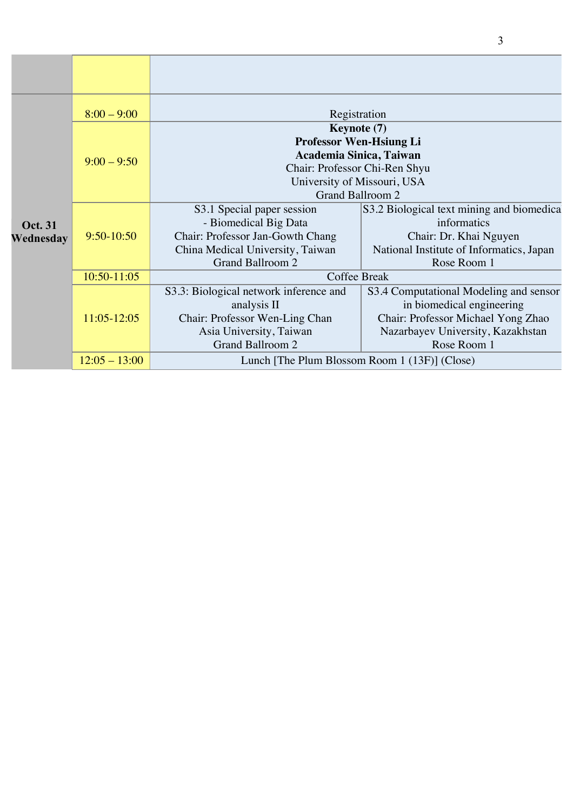|                      | $8:00 - 9:00$   | Registration                                                                                                                                                        |                                                                                                                                                               |
|----------------------|-----------------|---------------------------------------------------------------------------------------------------------------------------------------------------------------------|---------------------------------------------------------------------------------------------------------------------------------------------------------------|
| Oct. 31<br>Wednesday | $9:00 - 9:50$   | <b>Keynote</b> (7)<br><b>Professor Wen-Hsiung Li</b><br>Academia Sinica, Taiwan<br>Chair: Professor Chi-Ren Shyu<br>University of Missouri, USA<br>Grand Ballroom 2 |                                                                                                                                                               |
|                      | $9:50-10:50$    | S3.1 Special paper session<br>- Biomedical Big Data<br>Chair: Professor Jan-Gowth Chang<br>China Medical University, Taiwan<br>Grand Ballroom 2                     | S3.2 Biological text mining and biomedica<br>informatics<br>Chair: Dr. Khai Nguyen<br>National Institute of Informatics, Japan<br>Rose Room 1                 |
|                      | $10:50 - 11:05$ | Coffee Break                                                                                                                                                        |                                                                                                                                                               |
|                      | 11:05-12:05     | S3.3: Biological network inference and<br>analysis II<br>Chair: Professor Wen-Ling Chan<br>Asia University, Taiwan<br><b>Grand Ballroom 2</b>                       | S3.4 Computational Modeling and sensor<br>in biomedical engineering<br>Chair: Professor Michael Yong Zhao<br>Nazarbayev University, Kazakhstan<br>Rose Room 1 |
|                      | $12:05 - 13:00$ | Lunch [The Plum Blossom Room 1 (13F)] (Close)                                                                                                                       |                                                                                                                                                               |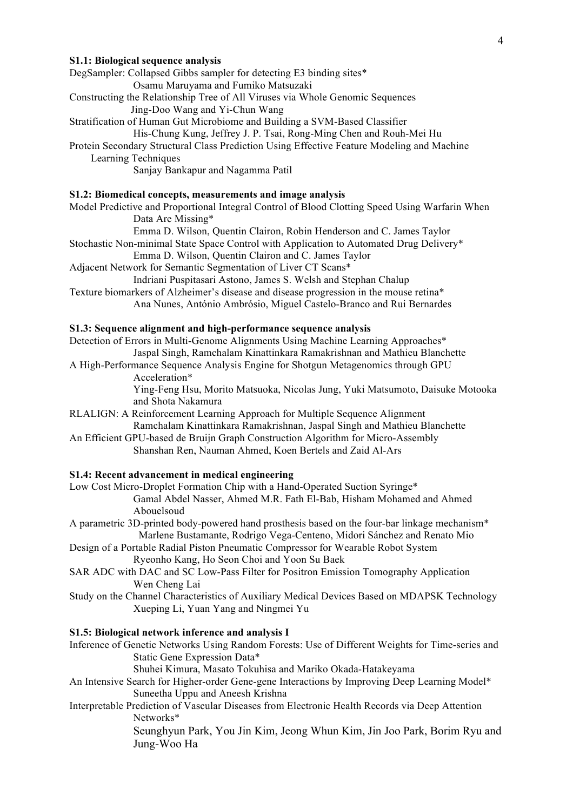#### **S1.1: Biological sequence analysis**

DegSampler: Collapsed Gibbs sampler for detecting E3 binding sites\* Osamu Maruyama and Fumiko Matsuzaki

Constructing the Relationship Tree of All Viruses via Whole Genomic Sequences Jing-Doo Wang and Yi-Chun Wang

Stratification of Human Gut Microbiome and Building a SVM-Based Classifier

His-Chung Kung, Jeffrey J. P. Tsai, Rong-Ming Chen and Rouh-Mei Hu

Protein Secondary Structural Class Prediction Using Effective Feature Modeling and Machine Learning Techniques

Sanjay Bankapur and Nagamma Patil

# **S1.2: Biomedical concepts, measurements and image analysis**

Model Predictive and Proportional Integral Control of Blood Clotting Speed Using Warfarin When Data Are Missing\*

Emma D. Wilson, Quentin Clairon, Robin Henderson and C. James Taylor

Stochastic Non-minimal State Space Control with Application to Automated Drug Delivery\*

Emma D. Wilson, Quentin Clairon and C. James Taylor

Adjacent Network for Semantic Segmentation of Liver CT Scans\*

Indriani Puspitasari Astono, James S. Welsh and Stephan Chalup

Texture biomarkers of Alzheimer's disease and disease progression in the mouse retina\* Ana Nunes, António Ambrósio, Miguel Castelo-Branco and Rui Bernardes

#### **S1.3: Sequence alignment and high-performance sequence analysis**

Detection of Errors in Multi-Genome Alignments Using Machine Learning Approaches\* Jaspal Singh, Ramchalam Kinattinkara Ramakrishnan and Mathieu Blanchette

A High-Performance Sequence Analysis Engine for Shotgun Metagenomics through GPU Acceleration\*

> Ying-Feng Hsu, Morito Matsuoka, Nicolas Jung, Yuki Matsumoto, Daisuke Motooka and Shota Nakamura

RLALIGN: A Reinforcement Learning Approach for Multiple Sequence Alignment Ramchalam Kinattinkara Ramakrishnan, Jaspal Singh and Mathieu Blanchette

An Efficient GPU-based de Bruijn Graph Construction Algorithm for Micro-Assembly Shanshan Ren, Nauman Ahmed, Koen Bertels and Zaid Al-Ars

# **S1.4: Recent advancement in medical engineering**

Low Cost Micro-Droplet Formation Chip with a Hand-Operated Suction Syringe\* Gamal Abdel Nasser, Ahmed M.R. Fath El-Bab, Hisham Mohamed and Ahmed Abouelsoud

- A parametric 3D-printed body-powered hand prosthesis based on the four-bar linkage mechanism\* Marlene Bustamante, Rodrigo Vega-Centeno, Midori Sánchez and Renato Mio
- Design of a Portable Radial Piston Pneumatic Compressor for Wearable Robot System Ryeonho Kang, Ho Seon Choi and Yoon Su Baek
- SAR ADC with DAC and SC Low-Pass Filter for Positron Emission Tomography Application Wen Cheng Lai
- Study on the Channel Characteristics of Auxiliary Medical Devices Based on MDAPSK Technology Xueping Li, Yuan Yang and Ningmei Yu

#### **S1.5: Biological network inference and analysis I**

Inference of Genetic Networks Using Random Forests: Use of Different Weights for Time-series and Static Gene Expression Data\*

Shuhei Kimura, Masato Tokuhisa and Mariko Okada-Hatakeyama

An Intensive Search for Higher-order Gene-gene Interactions by Improving Deep Learning Model\* Suneetha Uppu and Aneesh Krishna

Interpretable Prediction of Vascular Diseases from Electronic Health Records via Deep Attention Networks\*

> Seunghyun Park, You Jin Kim, Jeong Whun Kim, Jin Joo Park, Borim Ryu and Jung-Woo Ha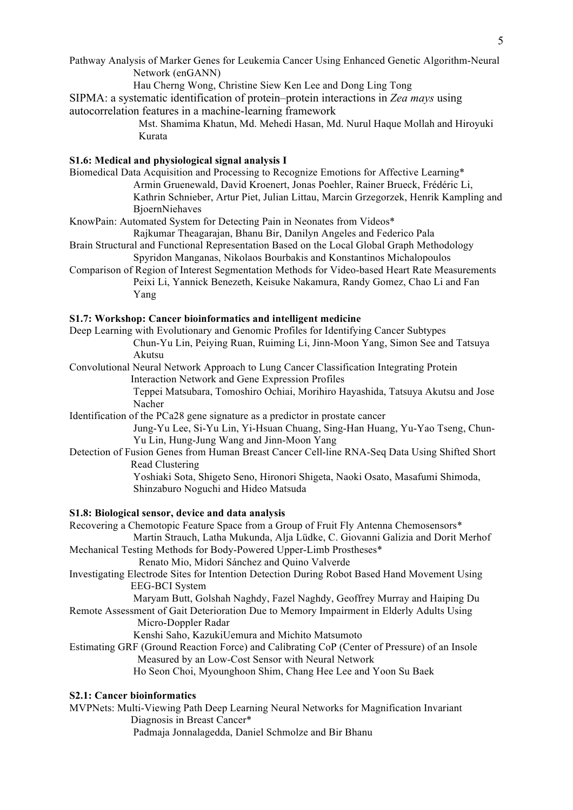Pathway Analysis of Marker Genes for Leukemia Cancer Using Enhanced Genetic Algorithm-Neural Network (enGANN)

Hau Cherng Wong, Christine Siew Ken Lee and Dong Ling Tong

SIPMA: a systematic identification of protein–protein interactions in *Zea mays* using autocorrelation features in a machine-learning framework

Mst. Shamima Khatun, Md. Mehedi Hasan, Md. Nurul Haque Mollah and Hiroyuki Kurata

## **S1.6: Medical and physiological signal analysis I**

Biomedical Data Acquisition and Processing to Recognize Emotions for Affective Learning\* Armin Gruenewald, David Kroenert, Jonas Poehler, Rainer Brueck, Frédéric Li, Kathrin Schnieber, Artur Piet, Julian Littau, Marcin Grzegorzek, Henrik Kampling and BjoernNiehaves

KnowPain: Automated System for Detecting Pain in Neonates from Videos\*

Rajkumar Theagarajan, Bhanu Bir, Danilyn Angeles and Federico Pala

- Brain Structural and Functional Representation Based on the Local Global Graph Methodology Spyridon Manganas, Nikolaos Bourbakis and Konstantinos Michalopoulos
- Comparison of Region of Interest Segmentation Methods for Video-based Heart Rate Measurements Peixi Li, Yannick Benezeth, Keisuke Nakamura, Randy Gomez, Chao Li and Fan Yang

## **S1.7: Workshop: Cancer bioinformatics and intelligent medicine**

Deep Learning with Evolutionary and Genomic Profiles for Identifying Cancer Subtypes Chun-Yu Lin, Peiying Ruan, Ruiming Li, Jinn-Moon Yang, Simon See and Tatsuya Akutsu

Convolutional Neural Network Approach to Lung Cancer Classification Integrating Protein Interaction Network and Gene Expression Profiles

> Teppei Matsubara, Tomoshiro Ochiai, Morihiro Hayashida, Tatsuya Akutsu and Jose Nacher

Identification of the PCa28 gene signature as a predictor in prostate cancer

Jung-Yu Lee, Si-Yu Lin, Yi-Hsuan Chuang, Sing-Han Huang, Yu-Yao Tseng, Chun-Yu Lin, Hung-Jung Wang and Jinn-Moon Yang

Detection of Fusion Genes from Human Breast Cancer Cell-line RNA-Seq Data Using Shifted Short Read Clustering

Yoshiaki Sota, Shigeto Seno, Hironori Shigeta, Naoki Osato, Masafumi Shimoda, Shinzaburo Noguchi and Hideo Matsuda

# **S1.8: Biological sensor, device and data analysis**

Recovering a Chemotopic Feature Space from a Group of Fruit Fly Antenna Chemosensors\* Martin Strauch, Latha Mukunda, Alja Lüdke, C. Giovanni Galizia and Dorit Merhof Mechanical Testing Methods for Body-Powered Upper-Limb Prostheses\* Renato Mio, Midori Sánchez and Quino Valverde Investigating Electrode Sites for Intention Detection During Robot Based Hand Movement Using EEG-BCI System Maryam Butt, Golshah Naghdy, Fazel Naghdy, Geoffrey Murray and Haiping Du Remote Assessment of Gait Deterioration Due to Memory Impairment in Elderly Adults Using Micro-Doppler Radar Kenshi Saho, KazukiUemura and Michito Matsumoto Estimating GRF (Ground Reaction Force) and Calibrating CoP (Center of Pressure) of an Insole Measured by an Low-Cost Sensor with Neural Network Ho Seon Choi, Myounghoon Shim, Chang Hee Lee and Yoon Su Baek

## **S2.1: Cancer bioinformatics**

MVPNets: Multi-Viewing Path Deep Learning Neural Networks for Magnification Invariant Diagnosis in Breast Cancer\* Padmaja Jonnalagedda, Daniel Schmolze and Bir Bhanu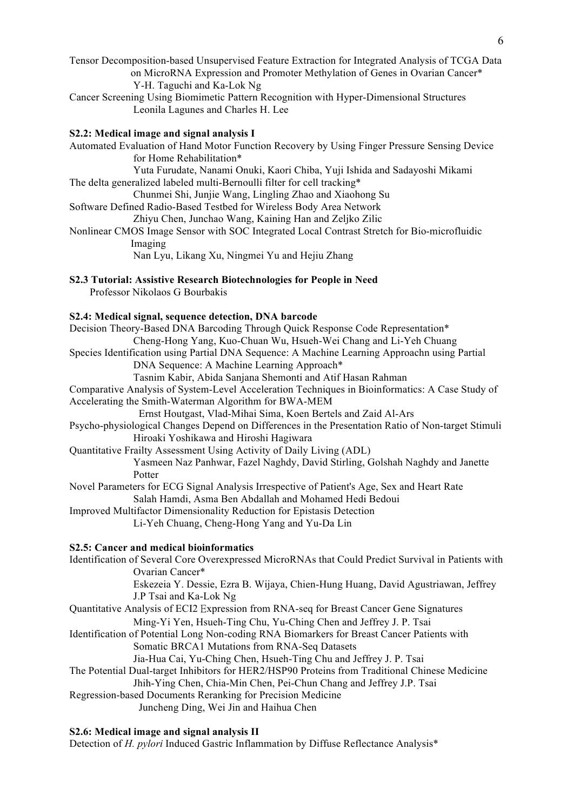Tensor Decomposition-based Unsupervised Feature Extraction for Integrated Analysis of TCGA Data on MicroRNA Expression and Promoter Methylation of Genes in Ovarian Cancer\* Y-H. Taguchi and Ka-Lok Ng

Cancer Screening Using Biomimetic Pattern Recognition with Hyper-Dimensional Structures Leonila Lagunes and Charles H. Lee

## **S2.2: Medical image and signal analysis I**

Automated Evaluation of Hand Motor Function Recovery by Using Finger Pressure Sensing Device for Home Rehabilitation\* Yuta Furudate, Nanami Onuki, Kaori Chiba, Yuji Ishida and Sadayoshi Mikami The delta generalized labeled multi-Bernoulli filter for cell tracking\* Chunmei Shi, Junjie Wang, Lingling Zhao and Xiaohong Su Software Defined Radio-Based Testbed for Wireless Body Area Network Zhiyu Chen, Junchao Wang, Kaining Han and Zeljko Zilic Nonlinear CMOS Image Sensor with SOC Integrated Local Contrast Stretch for Bio-microfluidic Imaging Nan Lyu, Likang Xu, Ningmei Yu and Hejiu Zhang

**S2.3 Tutorial: Assistive Research Biotechnologies for People in Need**

Professor Nikolaos G Bourbakis

#### **S2.4: Medical signal, sequence detection, DNA barcode**

Decision Theory-Based DNA Barcoding Through Quick Response Code Representation\* Cheng-Hong Yang, Kuo-Chuan Wu, Hsueh-Wei Chang and Li-Yeh Chuang Species Identification using Partial DNA Sequence: A Machine Learning Approachn using Partial DNA Sequence: A Machine Learning Approach\* Tasnim Kabir, Abida Sanjana Shemonti and Atif Hasan Rahman Comparative Analysis of System-Level Acceleration Techniques in Bioinformatics: A Case Study of Accelerating the Smith-Waterman Algorithm for BWA-MEM Ernst Houtgast, Vlad-Mihai Sima, Koen Bertels and Zaid Al-Ars Psycho-physiological Changes Depend on Differences in the Presentation Ratio of Non-target Stimuli Hiroaki Yoshikawa and Hiroshi Hagiwara Quantitative Frailty Assessment Using Activity of Daily Living (ADL) Yasmeen Naz Panhwar, Fazel Naghdy, David Stirling, Golshah Naghdy and Janette Potter Novel Parameters for ECG Signal Analysis Irrespective of Patient's Age, Sex and Heart Rate Salah Hamdi, Asma Ben Abdallah and Mohamed Hedi Bedoui Improved Multifactor Dimensionality Reduction for Epistasis Detection Li-Yeh Chuang, Cheng-Hong Yang and Yu-Da Lin **S2.5: Cancer and medical bioinformatics** Identification of Several Core Overexpressed MicroRNAs that Could Predict Survival in Patients with Ovarian Cancer\* Eskezeia Y. Dessie, Ezra B. Wijaya, Chien-Hung Huang, David Agustriawan, Jeffrey J.P Tsai and Ka-Lok Ng

- Quantitative Analysis of ECI2 Expression from RNA-seq for Breast Cancer Gene Signatures Ming-Yi Yen, Hsueh-Ting Chu, Yu-Ching Chen and Jeffrey J. P. Tsai
- Identification of Potential Long Non-coding RNA Biomarkers for Breast Cancer Patients with Somatic BRCA1 Mutations from RNA-Seq Datasets
- Jia-Hua Cai, Yu-Ching Chen, Hsueh-Ting Chu and Jeffrey J. P. Tsai The Potential Dual-target Inhibitors for HER2/HSP90 Proteins from Traditional Chinese Medicine Jhih-Ying Chen, Chia-Min Chen, Pei-Chun Chang and Jeffrey J.P. Tsai
- Regression-based Documents Reranking for Precision Medicine

Juncheng Ding, Wei Jin and Haihua Chen

## **S2.6: Medical image and signal analysis II**

Detection of *H. pylori* Induced Gastric Inflammation by Diffuse Reflectance Analysis\*